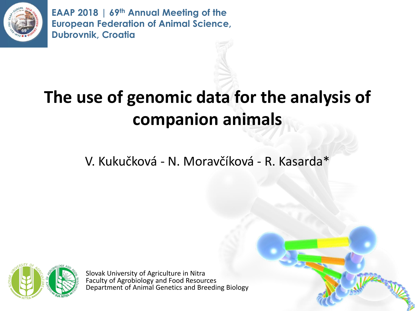

**EAAP 2018 | 69th Annual Meeting of the European Federation of Animal Science, Dubrovnik, Croatia**

## **The use of genomic data for the analysis of companion animals**

V. Kukučková - N. Moravčíková - R. Kasarda\*



Slovak University of Agriculture in Nitra Faculty of Agrobiology and Food Resources Department of Animal Genetics and Breeding Biology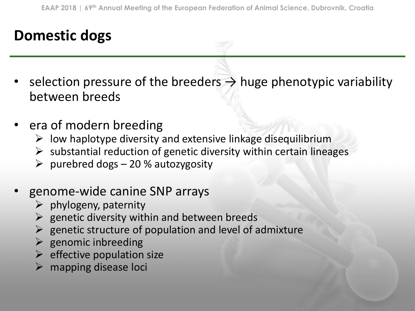#### **Domestic dogs**

- selection pressure of the breeders  $\rightarrow$  huge phenotypic variability between breeds
- era of modern breeding
	- $\triangleright$  low haplotype diversity and extensive linkage disequilibrium
	- $\triangleright$  substantial reduction of genetic diversity within certain lineages
	- $\triangleright$  purebred dogs 20 % autozygosity
- genome-wide canine SNP arrays
	- $\triangleright$  phylogeny, paternity
	- $\triangleright$  genetic diversity within and between breeds
	- $\triangleright$  genetic structure of population and level of admixture
	- $\triangleright$  genomic inbreeding
	- $\triangleright$  effective population size
	- $\triangleright$  mapping disease loci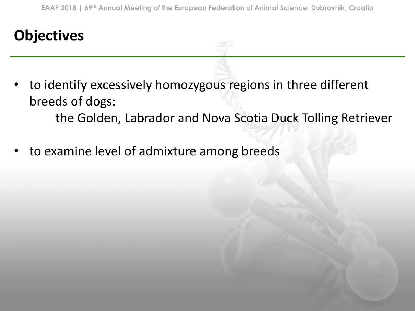## **Objectives**

- to identify excessively homozygous regions in three different breeds of dogs: the Golden, Labrador and Nova Scotia Duck Tolling Retriever
- to examine level of admixture among breeds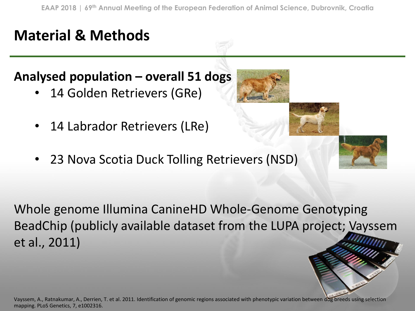#### **Analysed population – overall 51 dogs**

- 14 Golden Retrievers (GRe)
- 14 Labrador Retrievers (LRe)
- 23 Nova Scotia Duck Tolling Retrievers (NSD)

Vayssem, A., Ratnakumar, A., Derrien, T. et al. 2011. Identification of genomic regions associated with phenotypic variation between dog breeds using selection mapping. PLoS Genetics, 7, e1002316.

Whole genome Illumina CanineHD Whole-Genome Genotyping BeadChip (publicly available dataset from the LUPA project; Vayssem et al., 2011)



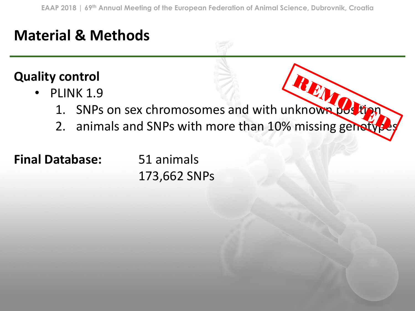#### **Quality control**

- PLINK 1.9
- PLINK 1.9<br>1. SNPs on sex chromosomes and with unknown position
	- 2. animals and SNPs with more than 10% missing genetyp

#### **Final Database:** 51 animals

173,662 SNPs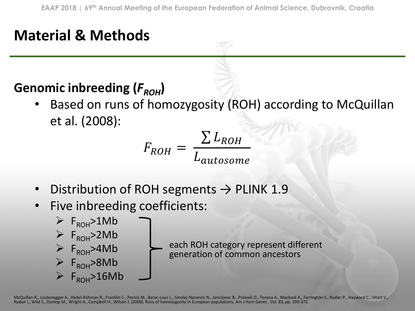#### Genomic inbreeding ( $F_{ROH}$ )

Based on runs of homozygosity (ROH) according to McQuillan et al. (2008):

$$
F_{ROH} = \frac{\sum L_{ROH}}{L_{autosome}}
$$

- Distribution of ROH segments  $\rightarrow$  PLINK 1.9
- Five inbreeding coefficients:



each ROH category represent different generation of common ancestors

McQuillan R., Leutenegger A., Abdel-Rahman R., Franklin C., Pericic M., Barac-Lauc L., Smolej-Narancic N., Janicijevic B., Polasek O., Tenesa A., Macleod A., Farrington S., Rudan P., Hayward C., Vitart V., Rudan I., Wild S., Dunlop M., Wright A., Campbell H., Wilson J. (2008). Runs of homozygosity in European populations, Am J Hum Genet , Vol. 83, pp. 359-372.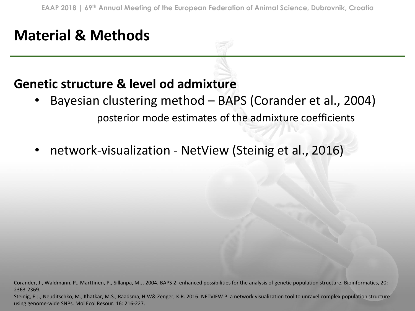#### **Genetic structure & level od admixture**

- Bayesian clustering method BAPS (Corander et al., 2004) posterior mode estimates of the admixture coefficients
- network-visualization NetView (Steinig et al., 2016)

Corander, J., Waldmann, P., Marttinen, P., Sillanpä, M.J. 2004. BAPS 2: enhanced possibilities for the analysis of genetic population structure. Bioinformatics, 20: 2363-2369.

Steinig, E.J., Neuditschko, M., Khatkar, M.S., Raadsma, H.W& Zenger, K.R. 2016. NETVIEW P: a network visualization tool to unravel complex population structure using genome-wide SNPs. Mol Ecol Resour. 16: 216-227.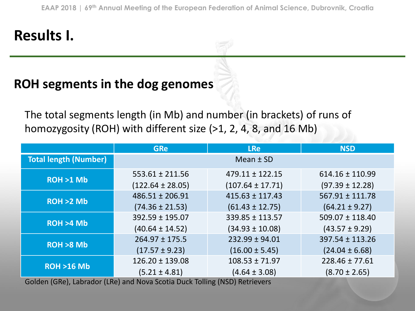## **Results I.**

#### **ROH segments in the dog genomes**

The total segments length (in Mb) and number (in brackets) of runs of homozygosity (ROH) with different size (>1, 2, 4, 8, and 16 Mb)

|                              | <b>GRe</b>           | <b>LRe</b>           | <b>NSD</b>          |
|------------------------------|----------------------|----------------------|---------------------|
| <b>Total length (Number)</b> |                      | Mean $±$ SD          |                     |
| $ROH > 1$ Mb                 | $553.61 \pm 211.56$  | $479.11 \pm 122.15$  | $614.16 \pm 110.99$ |
|                              | $(122.64 \pm 28.05)$ | $(107.64 \pm 17.71)$ | $(97.39 \pm 12.28)$ |
| ROH > 2 Mb                   | $486.51 \pm 206.91$  | $415.63 \pm 117.43$  | $567.91 \pm 111.78$ |
|                              | $(74.36 \pm 21.53)$  | $(61.43 \pm 12.75)$  | $(64.21 \pm 9.27)$  |
| ROH > 4 Mb                   | 392.59 ± 195.07      | 339.85 ± 113.57      | $509.07 \pm 118.40$ |
|                              | $(40.64 \pm 14.52)$  | $(34.93 \pm 10.08)$  | $(43.57 \pm 9.29)$  |
| $ROH > 8$ Mb                 | $264.97 \pm 175.5$   | $232.99 \pm 94.01$   | 397.54 ± 113.26     |
|                              | $(17.57 \pm 9.23)$   | $(16.00 \pm 5.45)$   | $(24.04 \pm 6.68)$  |
| <b>ROH &gt;16 Mb</b>         | $126.20 \pm 139.08$  | $108.53 \pm 71.97$   | $228.46 \pm 77.61$  |
|                              | $(5.21 \pm 4.81)$    | $(4.64 \pm 3.08)$    | $(8.70 \pm 2.65)$   |

Golden (GRe), Labrador (LRe) and Nova Scotia Duck Tolling (NSD) Retrievers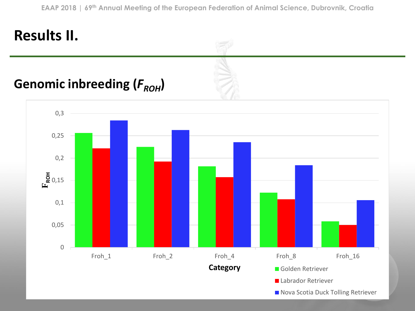## **Results II.**

#### Genomic inbreeding ( $F$ <sub>ROH</sub>)

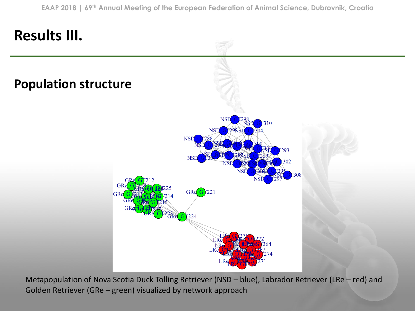

Metapopulation of Nova Scotia Duck Tolling Retriever (NSD – blue), Labrador Retriever (LRe – red) and Golden Retriever (GRe – green) visualized by network approach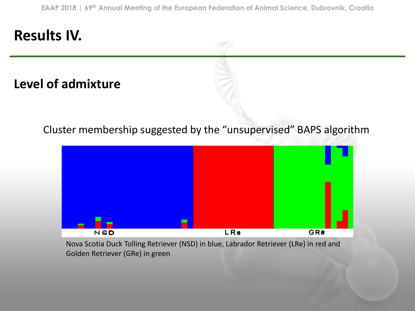#### **Results IV.**

**Level of admixture**

Cluster membership suggested by the "unsupervised" BAPS algorithm



Nova Scotia Duck Tolling Retriever (NSD) in blue, Labrador Retriever (LRe) in red and Golden Retriever (GRe) in green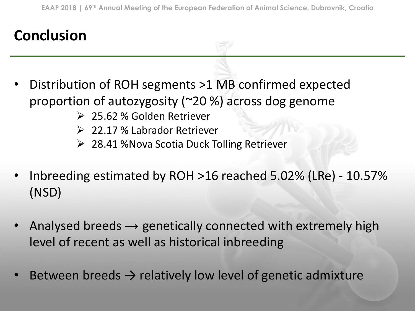## **Conclusion**

- Distribution of ROH segments >1 MB confirmed expected proportion of autozygosity (~20 %) across dog genome
	- ➢ 25.62 % Golden Retriever
	- ➢ 22.17 % Labrador Retriever
	- ➢ 28.41 %Nova Scotia Duck Tolling Retriever
- Inbreeding estimated by ROH >16 reached 5.02% (LRe) 10.57% (NSD)
- Analysed breeds  $\rightarrow$  genetically connected with extremely high level of recent as well as historical inbreeding
- Between breeds  $\rightarrow$  relatively low level of genetic admixture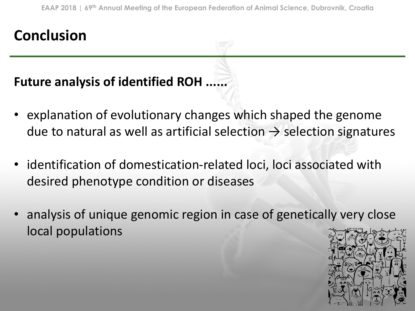## **Conclusion**

#### **Future analysis of identified ROH ......**

- explanation of evolutionary changes which shaped the genome due to natural as well as artificial selection  $\rightarrow$  selection signatures
- identification of domestication-related loci, loci associated with desired phenotype condition or diseases
- analysis of unique genomic region in case of genetically very close local populations